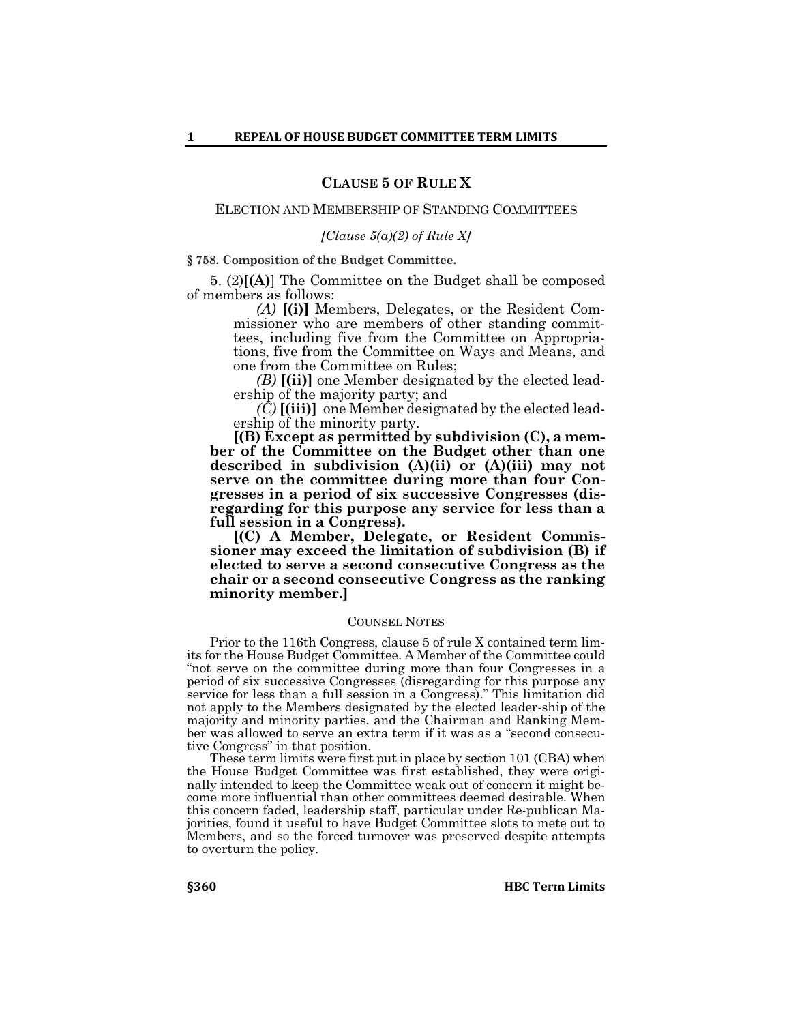# **CLAUSE 5 OF RULE X**

### ELECTION AND MEMBERSHIP OF STANDING COMMITTEES

## *[Clause 5(a)(2) of Rule X]*

### **§ 758. Composition of the Budget Committee.**

5. (2)[**(A)**] The Committee on the Budget shall be composed of members as follows:

> *(A)* **[(i)]** Members, Delegates, or the Resident Commissioner who are members of other standing committees, including five from the Committee on Appropriations, five from the Committee on Ways and Means, and one from the Committee on Rules;

> *(B)* **[(ii)]** one Member designated by the elected leadership of the majority party; and

> *(C)* **[(iii)]** one Member designated by the elected leadership of the minority party.

**[(B) Except as permitted by subdivision (C), a member of the Committee on the Budget other than one described in subdivision (A)(ii) or (A)(iii) may not serve on the committee during more than four Congresses in a period of six successive Congresses (disregarding for this purpose any service for less than a full session in a Congress).**

**[(C) A Member, Delegate, or Resident Commissioner may exceed the limitation of subdivision (B) if elected to serve a second consecutive Congress as the chair or a second consecutive Congress as the ranking minority member.]**

#### COUNSEL NOTES

Prior to the 116th Congress, clause 5 of rule X contained term lim- its for the House Budget Committee. A Member of the Committee could "not serve on the committee during more than four Congresses in a period of six successive Congresses (disregarding for this purpose any service for less than a full session in a Congress)." This limitation did not apply to the Members designated by the elected leader-ship of the majority and minority parties, and the Chairman and Ranking Member was allowed to serve an extra term if it was as a "second consecutive Congress" in that position.

These term limits were first put in place by section 101 (CBA) when the House Budget Committee was first established, they were originally intended to keep the Committee weak out of concern it might become more influential than other committees deemed desirable. When this concern faded, leadership staff, particular under Re-publican Majorities, found it useful to have Budget Committee slots to mete out to Members, and so the forced turnover was preserved despite attempts to overturn the policy.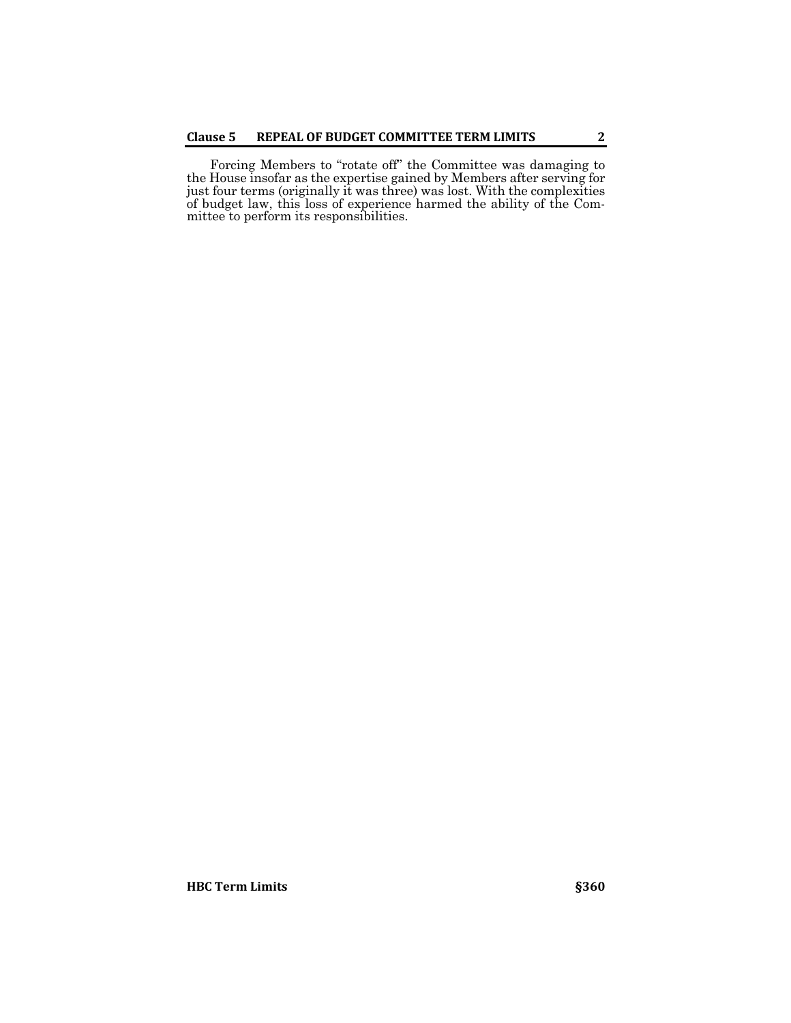Forcing Members to "rotate off" the Committee was damaging to the House insofar as the expertise gained by Members after serving for just four terms (originally it was three) was lost. With the complexities of budget law, this loss of experience harmed the ability of the Committee to perform its responsibilities.

**HBC** Term Limits **§360**